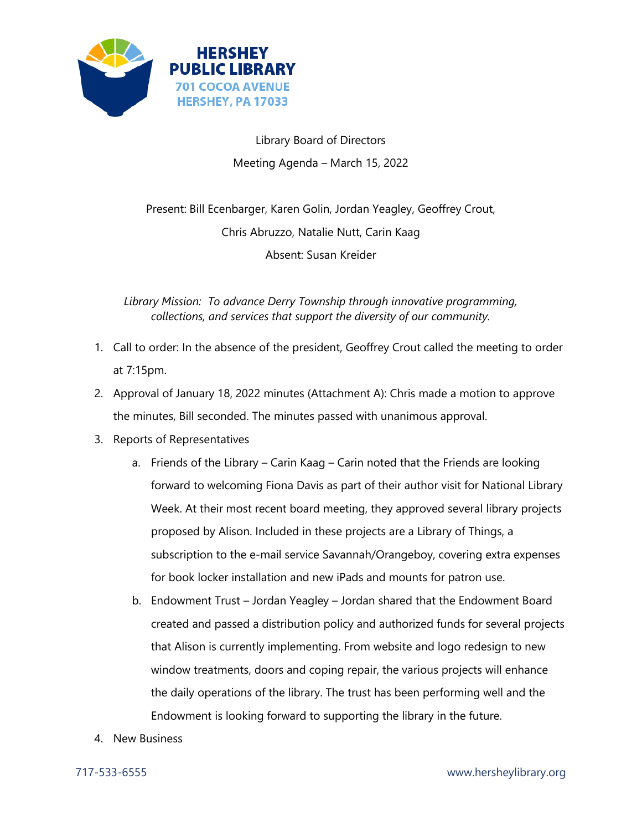

Library Board of Directors Meeting Agenda – March 15, 2022

Present: Bill Ecenbarger, Karen Golin, Jordan Yeagley, Geoffrey Crout, Chris Abruzzo, Natalie Nutt, Carin Kaag Absent: Susan Kreider

*Library Mission: To advance Derry Township through innovative programming, collections, and services that support the diversity of our community.*

- 1. Call to order: In the absence of the president, Geoffrey Crout called the meeting to order at 7:15pm.
- 2. Approval of January 18, 2022 minutes (Attachment A): Chris made a motion to approve the minutes, Bill seconded. The minutes passed with unanimous approval.
- 3. Reports of Representatives
	- a. Friends of the Library Carin Kaag Carin noted that the Friends are looking forward to welcoming Fiona Davis as part of their author visit for National Library Week. At their most recent board meeting, they approved several library projects proposed by Alison. Included in these projects are a Library of Things, a subscription to the e-mail service Savannah/Orangeboy, covering extra expenses for book locker installation and new iPads and mounts for patron use.
	- b. Endowment Trust Jordan Yeagley Jordan shared that the Endowment Board created and passed a distribution policy and authorized funds for several projects that Alison is currently implementing. From website and logo redesign to new window treatments, doors and coping repair, the various projects will enhance the daily operations of the library. The trust has been performing well and the Endowment is looking forward to supporting the library in the future.
- 4. New Business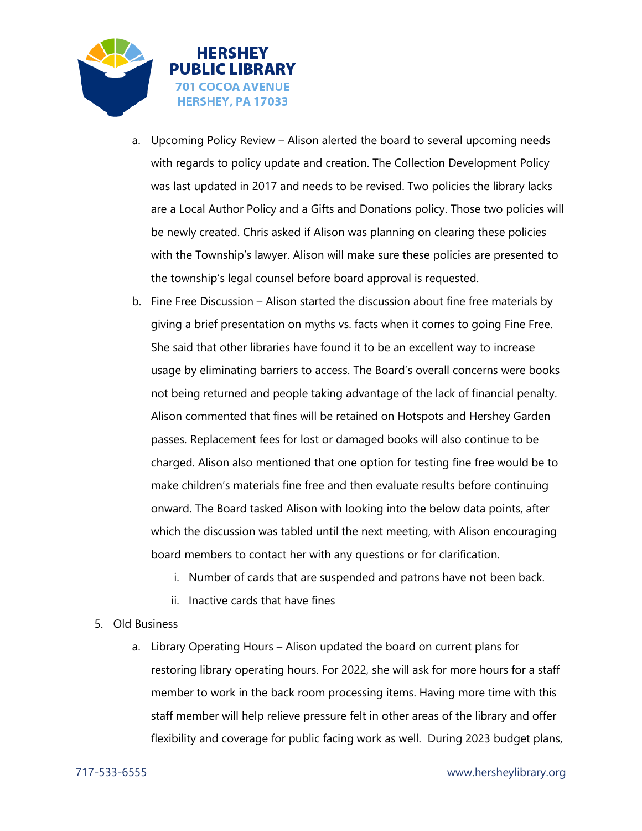

- a. Upcoming Policy Review Alison alerted the board to several upcoming needs with regards to policy update and creation. The Collection Development Policy was last updated in 2017 and needs to be revised. Two policies the library lacks are a Local Author Policy and a Gifts and Donations policy. Those two policies will be newly created. Chris asked if Alison was planning on clearing these policies with the Township's lawyer. Alison will make sure these policies are presented to the township's legal counsel before board approval is requested.
- b. Fine Free Discussion Alison started the discussion about fine free materials by giving a brief presentation on myths vs. facts when it comes to going Fine Free. She said that other libraries have found it to be an excellent way to increase usage by eliminating barriers to access. The Board's overall concerns were books not being returned and people taking advantage of the lack of financial penalty. Alison commented that fines will be retained on Hotspots and Hershey Garden passes. Replacement fees for lost or damaged books will also continue to be charged. Alison also mentioned that one option for testing fine free would be to make children's materials fine free and then evaluate results before continuing onward. The Board tasked Alison with looking into the below data points, after which the discussion was tabled until the next meeting, with Alison encouraging board members to contact her with any questions or for clarification.
	- i. Number of cards that are suspended and patrons have not been back.
	- ii. Inactive cards that have fines

## 5. Old Business

a. Library Operating Hours – Alison updated the board on current plans for restoring library operating hours. For 2022, she will ask for more hours for a staff member to work in the back room processing items. Having more time with this staff member will help relieve pressure felt in other areas of the library and offer flexibility and coverage for public facing work as well. During 2023 budget plans,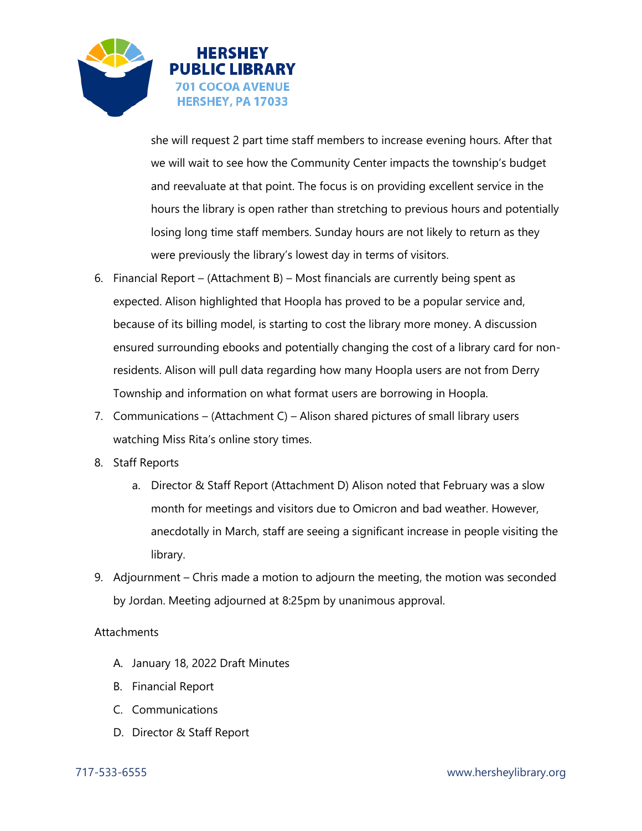

she will request 2 part time staff members to increase evening hours. After that we will wait to see how the Community Center impacts the township's budget and reevaluate at that point. The focus is on providing excellent service in the hours the library is open rather than stretching to previous hours and potentially losing long time staff members. Sunday hours are not likely to return as they were previously the library's lowest day in terms of visitors.

- 6. Financial Report (Attachment B) Most financials are currently being spent as expected. Alison highlighted that Hoopla has proved to be a popular service and, because of its billing model, is starting to cost the library more money. A discussion ensured surrounding ebooks and potentially changing the cost of a library card for nonresidents. Alison will pull data regarding how many Hoopla users are not from Derry Township and information on what format users are borrowing in Hoopla.
- 7. Communications (Attachment C) Alison shared pictures of small library users watching Miss Rita's online story times.
- 8. Staff Reports
	- a. Director & Staff Report (Attachment D) Alison noted that February was a slow month for meetings and visitors due to Omicron and bad weather. However, anecdotally in March, staff are seeing a significant increase in people visiting the library.
- 9. Adjournment Chris made a motion to adjourn the meeting, the motion was seconded by Jordan. Meeting adjourned at 8:25pm by unanimous approval.

## **Attachments**

- A. January 18, 2022 Draft Minutes
- B. Financial Report
- C. Communications
- D. Director & Staff Report